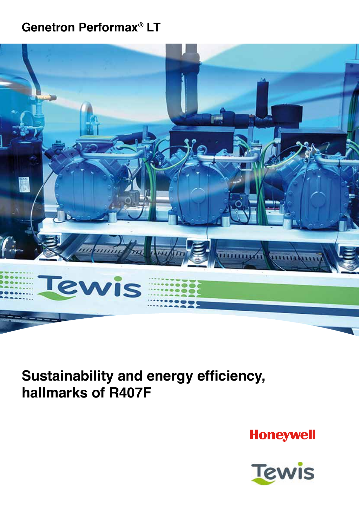## **Genetron Performax® LT**



**Sustainability and energy efficiency, hallmarks of R407F**

**Honeywell** 

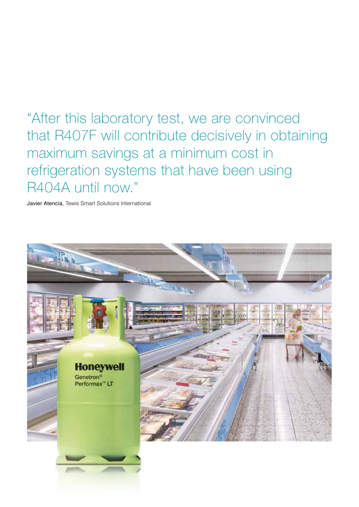"After this laboratory test, we are convinced that R407F will contribute decisively in obtaining maximum savings at a minimum cost in refrigeration systems that have been using R404A until now."

Javier Atencia, Tewis Smart Solutions International

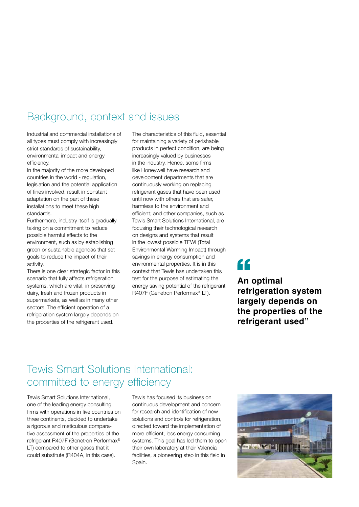## Background, context and issues

Industrial and commercial installations of all types must comply with increasingly strict standards of sustainability, environmental impact and energy efficiency.

In the majority of the more developed countries in the world - regulation, legislation and the potential application of fines involved, result in constant adaptation on the part of these installations to meet these high standards.

Furthermore, industry itself is gradually taking on a commitment to reduce possible harmful effects to the environment, such as by establishing green or sustainable agendas that set goals to reduce the impact of their activity.

There is one clear strategic factor in this scenario that fully affects refrigeration systems, which are vital, in preserving dairy, fresh and frozen products in supermarkets, as well as in many other sectors. The efficient operation of a refrigeration system largely depends on the properties of the refrigerant used.

The characteristics of this fluid, essential for maintaining a variety of perishable products in perfect condition, are being increasingly valued by businesses in the industry. Hence, some firms like Honeywell have research and development departments that are continuously working on replacing refrigerant gases that have been used until now with others that are safer, harmless to the environment and efficient; and other companies, such as Tewis Smart Solutions International, are focusing their technological research on designs and systems that result in the lowest possible TEWI (Total Environmental Warming Impact) through savings in energy consumption and environmental properties. It is in this context that Tewis has undertaken this test for the purpose of estimating the energy saving potential of the refrigerant R407F (Genetron Performax® LT).

# "

**An optimal refrigeration system largely depends on the properties of the refrigerant used"**

## Tewis Smart Solutions International: committed to energy efficiency

Tewis Smart Solutions International, one of the leading energy consulting firms with operations in five countries on three continents, decided to undertake a rigorous and meticulous comparative assessment of the properties of the refrigerant R407F (Genetron Performax® LT) compared to other gases that it could substitute (R404A, in this case).

Tewis has focused its business on continuous development and concern for research and identification of new solutions and controls for refrigeration. directed toward the implementation of more efficient, less energy consuming systems. This goal has led them to open their own laboratory at their Valencia facilities, a pioneering step in this field in Spain.

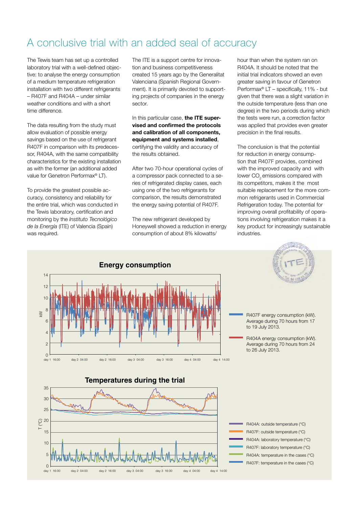### A conclusive trial with an added seal of accuracy

The Tewis team has set up a controlled laboratory trial with a well-defined objective: to analyse the energy consumption of a medium temperature refrigeration installation with two different refrigerants – R407F and R404A – under similar weather conditions and with a short time difference.

The data resulting from the study must allow evaluation of possible energy savings based on the use of refrigerant R407F in comparison with its predecessor, R404A, with the same compatibility characteristics for the existing installation as with the former (an additional added value for Genetron Performax® LT).

To provide the greatest possible accuracy, consistency and reliability for the entire trial, which was conducted in the Tewis laboratory, certification and monitoring by the *Instituto Tecnológico de la Energía* (ITE) of Valencia (Spain) was required.

The ITE is a support centre for innovation and business competitiveness created 15 years ago by the Generalitat Valenciana (Spanish Regional Government). It is primarily devoted to supporting projects of companies in the energy sector.

In this particular case, **the ITE supervised and confirmed the protocols and calibration of all components, equipment and systems installed**, certifying the validity and accuracy of the results obtained.

After two 70-hour operational cycles of a compressor pack connected to a series of refrigerated display cases, each using one of the two refrigerants for comparison, the results demonstrated the energy saving potential of R407F.

The new refrigerant developed by Honeywell showed a reduction in energy consumption of about 8% kilowatts/

hour than when the system ran on R404A. It should be noted that the initial trial indicators showed an even greater saving in favour of Genetron Performax® LT – specifically, 11% - but given that there was a slight variation in the outside temperature (less than one degree) in the two periods during which the tests were run, a correction factor was applied that provides even greater precision in the final results.

The conclusion is that the potential for reduction in energy consumption that R407F provides, combined with the improved capacity and with lower CO<sub>c</sub> emissions compared with its competitors, makes it the most suitable replacement for the more common refrigerants used in Commercial Refrigeration today. The potential for improving overall profitability of operations involving refrigeration makes it a key product for increasingly sustainable industries.

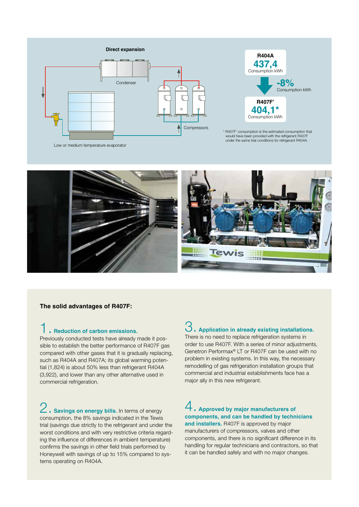

**R404A 437,4** Consumption kWh **R407F' 404,1\*** Consumption kWh **-8%** Consumption kWh

\* R407F' consumption is the estimated consumption that would have been provided with the refrigerant R407F under the same trial conditions for refrigerant R404A.



#### **The solid advantages of R407F:**

#### 1. **Reduction of carbon emissions.**

Previously conducted tests have already made it possible to establish the better performance of R407F gas compared with other gases that it is gradually replacing, such as R404A and R407A; its global warming potential (1,824) is about 50% less than refrigerant R404A (3,922), and lower than any other alternative used in commercial refrigeration.

**Example 3** Savings on energy bills. In terms of energy consumption, the 8% savings indicated in the Tewis trial (savings due strictly to the refrigerant and under the worst conditions and with very restrictive criteria regarding the influence of differences in ambient temperature) confirms the savings in other field trials performed by Honeywell with savings of up to 15% compared to systems operating on R404A.

### 3. **Application in already existing installations.**

There is no need to replace refrigeration systems in order to use R407F. With a series of minor adjustments, Genetron Performax® LT or R407F can be used with no problem in existing systems. In this way, the necessary remodelling of gas refrigeration installation groups that commercial and industrial establishments face has a major ally in this new refrigerant.

### 4. **Approved by major manufacturers of components, and can be handled by technicians**

**and installers.** R407F is approved by major manufacturers of compressors, valves and other components, and there is no significant difference in its handling for regular technicians and contractors, so that it can be handled safely and with no major changes.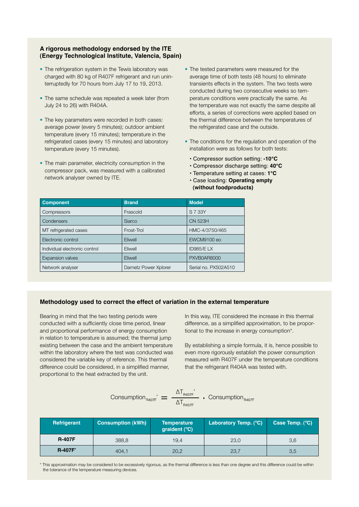#### **A rigorous methodology endorsed by the ITE (Energy Technological Institute, Valencia, Spain)**

- The refrigeration system in the Tewis laboratory was charged with 80 kg of R407F refrigerant and run uninterruptedly for 70 hours from July 17 to 19, 2013.
- The same schedule was repeated a week later (from July 24 to 26) with R404A.
- The key parameters were recorded in both cases: average power (every 5 minutes); outdoor ambient temperature (every 15 minutes); temperature in the refrigerated cases (every 15 minutes) and laboratory temperature (every 15 minutes).
- The main parameter, electricity consumption in the compressor pack, was measured with a calibrated network analyser owned by ITE.
- The tested parameters were measured for the average time of both tests (48 hours) to eliminate transients effects in the system. The two tests were conducted during two consecutive weeks so temperature conditions were practically the same. As the temperature was not exactly the same despite all efforts, a series of corrections were applied based on the thermal difference between the temperatures of the refrigerated case and the outside.
- The conditions for the regulation and operation of the installation were as follows for both tests:
	- Compressor suction setting: **-10°C**
	- Compressor discharge setting: **40°C**
	- Temperature setting at cases: **1°C**
	- Case loading: **Operating empty (without foodproducts)**

| <b>Component</b>              | <b>Brand</b>          | <b>Model</b>         |
|-------------------------------|-----------------------|----------------------|
| Compressors                   | Frascold              | S 7 33Y              |
| Condensers                    | Siarco                | CN 523H              |
| MT refrigerated cases         | Frost-Trol            | HMC-4/3750/465       |
| Electronic control            | Eliwell               | EWCM9100 eo          |
| Individual electronic control | Eliwell               | ID985/E LX           |
| <b>Expansion valves</b>       | Eliwell               | PXVB0AR8000          |
| Network analyser              | Darnetz Power Xplorer | Serial no. PX502A510 |

#### **Methodology used to correct the effect of variation in the external temperature**

Bearing in mind that the two testing periods were conducted with a sufficiently close time period, linear and proportional performance of energy consumption in relation to temperature is assumed; the thermal jump existing between the case and the ambient temperature within the laboratory where the test was conducted was considered the variable key of reference. This thermal difference could be considered, in a simplified manner, proportional to the heat extracted by the unit.

In this way, ITE considered the increase in this thermal difference, as a simplified approximation, to be proportional to the increase in energy consumption\*.

By establishing a simple formula, it is, hence possible to even more rigorously establish the power consumption measured with R407F under the temperature conditions that the refrigerant R404A was tested with.

$$
\text{Consumption}_{\text{RA07F}} = \frac{\Delta T_{\text{RA07F}}}{\Delta T_{\text{BA07F}}} \cdot \text{Consumption}_{\text{RA07F}}
$$

| Refrigerant   | <b>Consumption (kWh)</b> | Temperature<br>graident $(^{\circ}C)$ | Laboratory Temp. (°C). | Case Temp. (°C) |
|---------------|--------------------------|---------------------------------------|------------------------|-----------------|
| <b>R-407F</b> | 388,8                    | 19.4                                  | 23.0                   | 3,6             |
| <b>R-407F</b> | 404,1                    | 20,2                                  | 23,7                   | 3,5             |

\* This approximation may be considered to be excessively rigorous, as the thermal difference is less than one degree and this difference could be within the tolerance of the temperature measuring devices.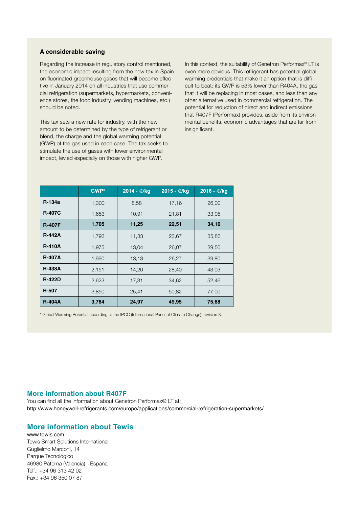#### **A considerable saving**

Regarding the increase in regulatory control mentioned, the economic impact resulting from the new tax in Spain on fluorinated greenhouse gases that will become effective in January 2014 on all industries that use commercial refrigeration (supermarkets, hypermarkets, convenience stores, the food industry, vending machines, etc.) should be noted.

This tax sets a new rate for industry, with the new amount to be determined by the type of refrigerant or blend, the charge and the global warming potential (GWP) of the gas used in each case. The tax seeks to stimulate the use of gases with lower environmental impact, levied especially on those with higher GWP.

In this context, the suitability of Genetron Performax<sup>®</sup> LT is even more obvious. This refrigerant has potential global warming credentials that make it an option that is difficult to beat: its GWP is 53% lower than R404A, the gas that it will be replacing in most cases, and less than any other alternative used in commercial refrigeration. The potential for reduction of direct and indirect emissions that R407F (Performax) provides, aside from its environmental benefits, economic advantages that are far from insignificant.

|               | GWP*  | 2014 - €/kg | 2015 - €/kg | $2016 - \epsilon$ /kg |
|---------------|-------|-------------|-------------|-----------------------|
| R-134a        | 1,300 | 8,58        | 17,16       | 26,00                 |
| <b>R-407C</b> | 1,653 | 10,91       | 21,81       | 33,05                 |
| <b>R-407F</b> | 1,705 | 11,25       | 22,51       | 34,10                 |
| <b>R-442A</b> | 1,793 | 11,83       | 23,67       | 35,86                 |
| <b>R-410A</b> | 1,975 | 13,04       | 26,07       | 39,50                 |
| <b>R-407A</b> | 1,990 | 13,13       | 26,27       | 39,80                 |
| <b>R-438A</b> | 2,151 | 14,20       | 28,40       | 43,03                 |
| <b>R-422D</b> | 2,623 | 17,31       | 34,62       | 52,46                 |
| R-507         | 3,850 | 25,41       | 50,82       | 77,00                 |
| <b>R-404A</b> | 3,784 | 24,97       | 49,95       | 75,68                 |

\* Global Warming Potential according to the IPCC (International Panel of Climate Change), revision 3.

#### **More information about R407F**

You can find all the information about Genetron Performax® LT at: http://www.honeywell-refrigerants.com/europe/applications/commercial-refrigeration-supermarkets/

#### **More information about Tewis**

www.tewis.com Tewis Smart Solutions International Guglielmo Marconi, 14 Parque Tecnológico 46980 Paterna (Valencia) - España Telf.: +34 96 313 42 02 Fax.: +34 96 350 07 87